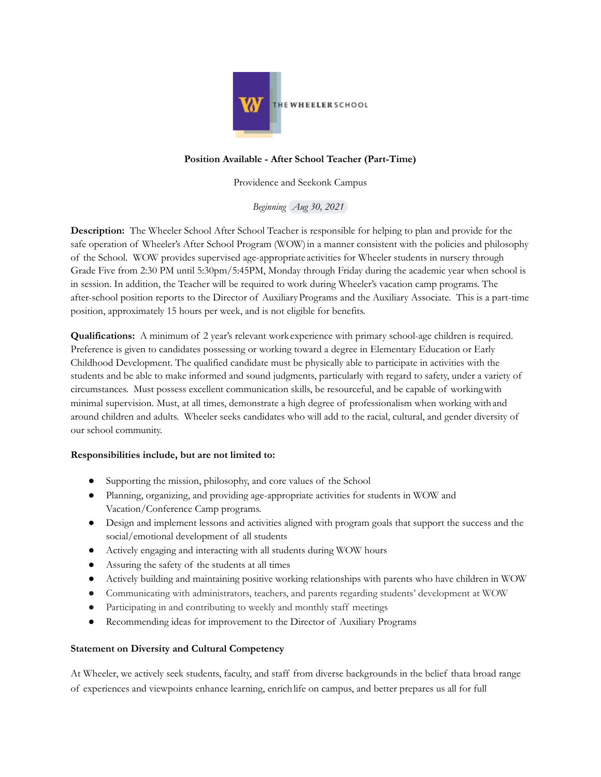

## **Position Available - After School Teacher (Part-Time)**

Providence and Seekonk Campus

*Beginning Aug 30, 2021*

**Description:** The Wheeler School After School Teacher is responsible for helping to plan and provide for the safe operation of Wheeler's After School Program (WOW) in a manner consistent with the policies and philosophy of the School. WOW provides supervised age-appropriate activities for Wheeler students in nursery through Grade Five from 2:30 PM until 5:30pm/5:45PM, Monday through Friday during the academic year when school is in session. In addition, the Teacher will be required to work during Wheeler's vacation camp programs. The after-school position reports to the Director of AuxiliaryPrograms and the Auxiliary Associate. This is a part-time position, approximately 15 hours per week, and is not eligible for benefits.

**Qualifications:** A minimum of 2 year's relevant work experience with primary school-age children is required. Preference is given to candidates possessing or working toward a degree in Elementary Education or Early Childhood Development. The qualified candidate must be physically able to participate in activities with the students and be able to make informed and sound judgments, particularly with regard to safety, under a variety of circumstances. Must possess excellent communication skills, be resourceful, and be capable of workingwith minimal supervision. Must, at all times, demonstrate a high degree of professionalism when working withand around children and adults. Wheeler seeks candidates who will add to the racial, cultural, and gender diversity of our school community.

## **Responsibilities include, but are not limited to:**

- Supporting the mission, philosophy, and core values of the School
- Planning, organizing, and providing age-appropriate activities for students in WOW and Vacation/Conference Camp programs.
- Design and implement lessons and activities aligned with program goals that support the success and the social/emotional development of all students
- Actively engaging and interacting with all students during WOW hours
- Assuring the safety of the students at all times
- Actively building and maintaining positive working relationships with parents who have children in WOW
- Communicating with administrators, teachers, and parents regarding students' development at WOW
- Participating in and contributing to weekly and monthly staff meetings
- Recommending ideas for improvement to the Director of Auxiliary Programs

## **Statement on Diversity and Cultural Competency**

At Wheeler, we actively seek students, faculty, and staff from diverse backgrounds in the belief thata broad range of experiences and viewpoints enhance learning, enrichlife on campus, and better prepares us all for full